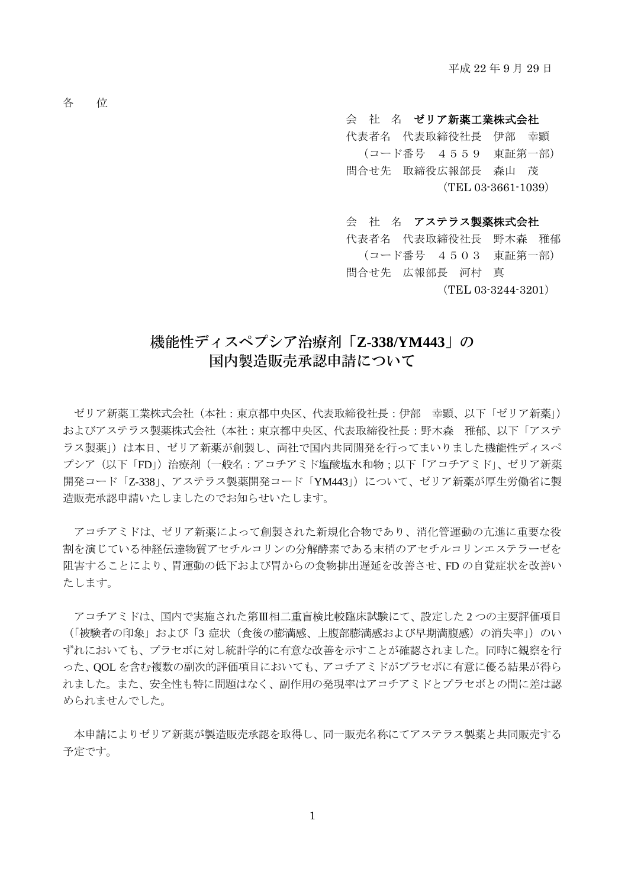各 位

## 会 社 名 ゼリア新薬工業株式会社

 代表者名 代表取締役社長 伊部 幸顕 (コード番号 4559 東証第一部) 問合せ先 取締役広報部長 森山 茂 (TEL 03-3661-1039)

会 社 名 アステラス製薬株式会社 代表者名 代表取締役社長 野木森 雅郁 (コード番号 4503 東証第一部) 問合せ先 広報部長 河村 真 (TEL 03-3244-3201)

## 機能性ディスペプシア治療剤「**Z-338/YM443**」の 国内製造販売承認申請について

ゼリア新薬工業株式会社(本社:東京都中央区、代表取締役社長:伊部 幸顕、以下「ゼリア新薬」) およびアステラス製薬株式会社(本社:東京都中央区、代表取締役社長:野木森 雅郁、以下「アステ ラス製薬」)は本日、ゼリア新薬が創製し、両社で国内共同開発を行ってまいりました機能性ディスペ プシア(以下「FD」)治療剤(一般名:アコチアミド塩酸塩水和物;以下「アコチアミド」、ゼリア新薬 開発コード「Z-338」、アステラス製薬開発コード「YM443」)について、ゼリア新薬が厚生労働省に製 造販売承認申請いたしましたのでお知らせいたします。

アコチアミドは、ゼリア新薬によって創製された新規化合物であり、消化管運動の亢進に重要な役 割を演じている神経伝達物質アセチルコリンの分解酵素である末梢のアセチルコリンエステラーゼを 阻害することにより、胃運動の低下および胃からの食物排出遅延を改善させ、FD の自覚症状を改善い たします。

アコチアミドは、国内で実施された第Ⅲ相二重盲検比較臨床試験にて、設定した 2 つの主要評価項目 (「被験者の印象」および「3症状(食後の膨満感、上腹部膨満感および早期満腹感)の消失率」)のい ずれにおいても、プラセボに対し統計学的に有意な改善を示すことが確認されました。同時に観察を行 った、QOL を含む複数の副次的評価項目においても、アコチアミドがプラセボに有意に優る結果が得ら れました。また、安全性も特に問題はなく、副作用の発現率はアコチアミドとプラセボとの間に差は認 められませんでした。

本申請によりゼリア新薬が製造販売承認を取得し、同一販売名称にてアステラス製薬と共同販売する 予定です。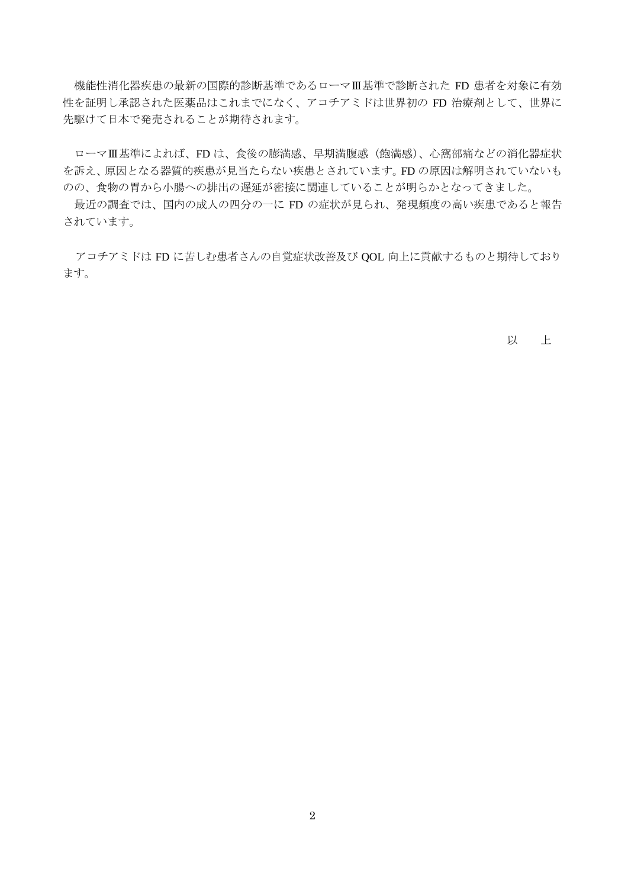機能性消化器疾患の最新の国際的診断基準であるローマⅢ基準で診断された FD 患者を対象に有効 性を証明し承認された医薬品はこれまでになく、アコチアミドは世界初の FD 治療剤として、世界に 先駆けて日本で発売されることが期待されます。

ローマⅢ基準によれば、FD は、食後の膨満感、早期満腹感(飽満感)、心窩部痛などの消化器症状 を訴え、原因となる器質的疾患が見当たらない疾患とされています。FD の原因は解明されていないも のの、食物の胃から小腸への排出の遅延が密接に関連していることが明らかとなってきました。

最近の調査では、国内の成人の四分の一に FD の症状が見られ、発現頻度の高い疾患であると報告 されています。

アコチアミドは FD に苦しむ患者さんの自覚症状改善及び QOL 向上に貢献するものと期待しており ます。

以 上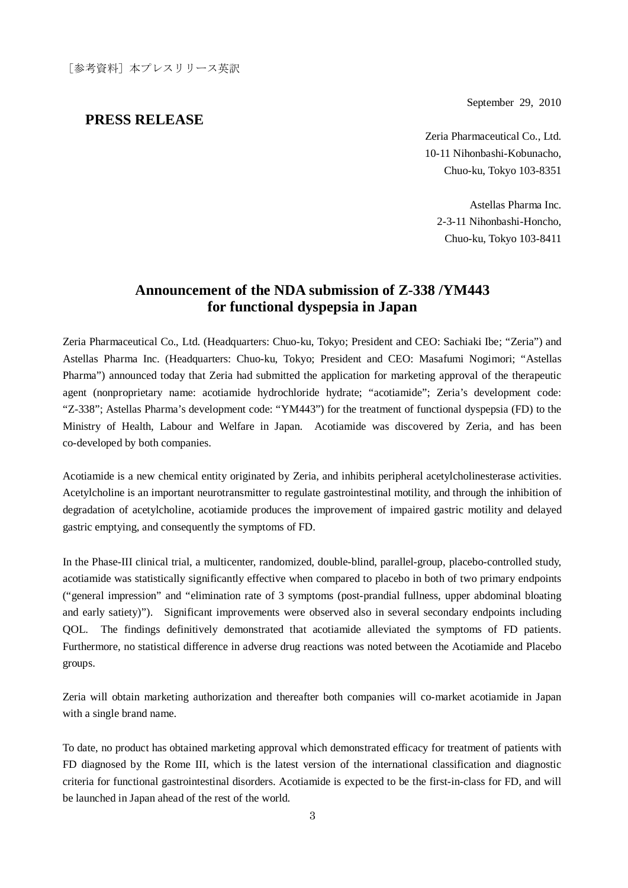September 29, 2010

## **PRESS RELEASE**

Zeria Pharmaceutical Co., Ltd. 10-11 Nihonbashi-Kobunacho, Chuo-ku, Tokyo 103-8351

Astellas Pharma Inc. 2-3-11 Nihonbashi-Honcho, Chuo-ku, Tokyo 103-8411

## **Announcement of the NDA submission of Z-338 /YM443 for functional dyspepsia in Japan**

Zeria Pharmaceutical Co., Ltd. (Headquarters: Chuo-ku, Tokyo; President and CEO: Sachiaki Ibe; "Zeria") and Astellas Pharma Inc. (Headquarters: Chuo-ku, Tokyo; President and CEO: Masafumi Nogimori; "Astellas Pharma") announced today that Zeria had submitted the application for marketing approval of the therapeutic agent (nonproprietary name: acotiamide hydrochloride hydrate; "acotiamide"; Zeria's development code: "Z-338"; Astellas Pharma's development code: "YM443") for the treatment of functional dyspepsia (FD) to the Ministry of Health, Labour and Welfare in Japan. Acotiamide was discovered by Zeria, and has been co-developed by both companies.

Acotiamide is a new chemical entity originated by Zeria, and inhibits peripheral acetylcholinesterase activities. Acetylcholine is an important neurotransmitter to regulate gastrointestinal motility, and through the inhibition of degradation of acetylcholine, acotiamide produces the improvement of impaired gastric motility and delayed gastric emptying, and consequently the symptoms of FD.

In the Phase-III clinical trial, a multicenter, randomized, double-blind, parallel-group, placebo-controlled study, acotiamide was statistically significantly effective when compared to placebo in both of two primary endpoints ("general impression" and "elimination rate of 3 symptoms (post-prandial fullness, upper abdominal bloating and early satiety)"). Significant improvements were observed also in several secondary endpoints including QOL. The findings definitively demonstrated that acotiamide alleviated the symptoms of FD patients. Furthermore, no statistical difference in adverse drug reactions was noted between the Acotiamide and Placebo groups.

Zeria will obtain marketing authorization and thereafter both companies will co-market acotiamide in Japan with a single brand name.

To date, no product has obtained marketing approval which demonstrated efficacy for treatment of patients with FD diagnosed by the Rome III, which is the latest version of the international classification and diagnostic criteria for functional gastrointestinal disorders. Acotiamide is expected to be the first-in-class for FD, and will be launched in Japan ahead of the rest of the world.